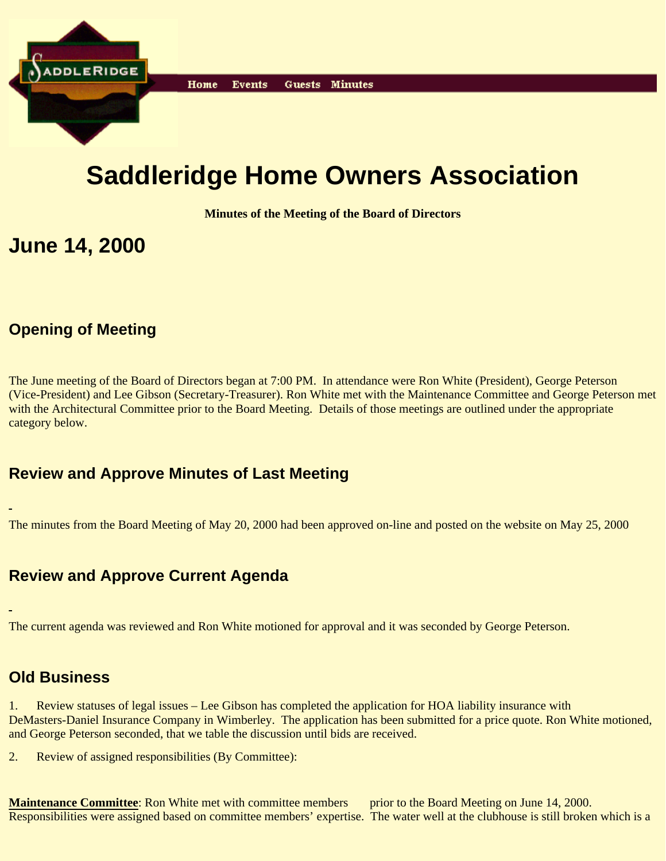

# **Saddleridge Home Owners Association**

**Minutes of the Meeting of the Board of Directors**

# **June 14, 2000**

# **Opening of Meeting**

The June meeting of the Board of Directors began at 7:00 PM. In attendance were Ron White (President), George Peterson (Vice-President) and Lee Gibson (Secretary-Treasurer). Ron White met with the Maintenance Committee and George Peterson met with the Architectural Committee prior to the Board Meeting. Details of those meetings are outlined under the appropriate category below.

### **Review and Approve Minutes of Last Meeting**

The minutes from the Board Meeting of May 20, 2000 had been approved on-line and posted on the website on May 25, 2000

# **Review and Approve Current Agenda**

The current agenda was reviewed and Ron White motioned for approval and it was seconded by George Peterson.

## **Old Business**

1. Review statuses of legal issues – Lee Gibson has completed the application for HOA liability insurance with DeMasters-Daniel Insurance Company in Wimberley. The application has been submitted for a price quote. Ron White motioned, and George Peterson seconded, that we table the discussion until bids are received.

2. Review of assigned responsibilities (By Committee):

**Maintenance Committee**: Ron White met with committee members prior to the Board Meeting on June 14, 2000. Responsibilities were assigned based on committee members' expertise. The water well at the clubhouse is still broken which is a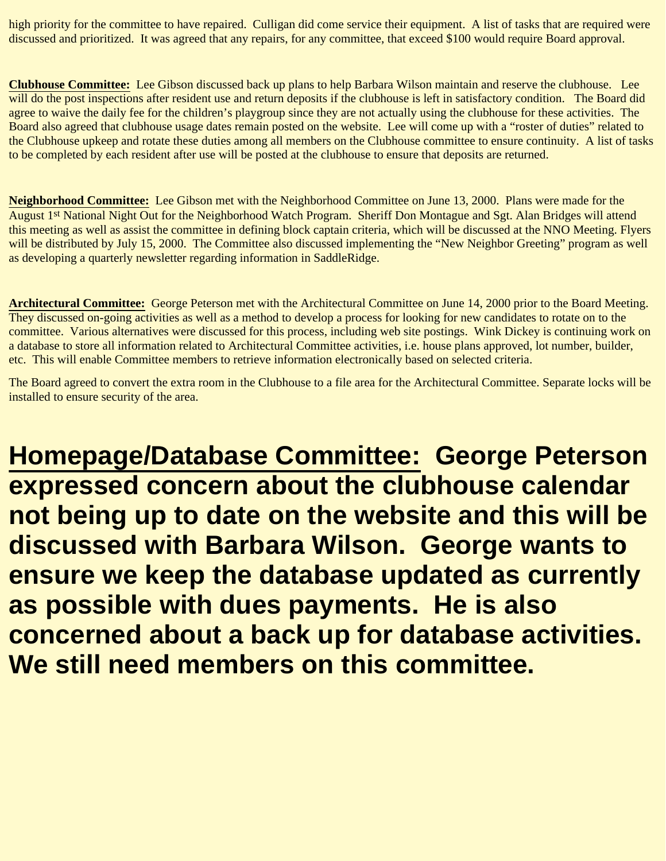high priority for the committee to have repaired. Culligan did come service their equipment. A list of tasks that are required were discussed and prioritized. It was agreed that any repairs, for any committee, that exceed \$100 would require Board approval.

**Clubhouse Committee:** Lee Gibson discussed back up plans to help Barbara Wilson maintain and reserve the clubhouse. Lee will do the post inspections after resident use and return deposits if the clubhouse is left in satisfactory condition. The Board did agree to waive the daily fee for the children's playgroup since they are not actually using the clubhouse for these activities. The Board also agreed that clubhouse usage dates remain posted on the website. Lee will come up with a "roster of duties" related to the Clubhouse upkeep and rotate these duties among all members on the Clubhouse committee to ensure continuity. A list of tasks to be completed by each resident after use will be posted at the clubhouse to ensure that deposits are returned.

**Neighborhood Committee:** Lee Gibson met with the Neighborhood Committee on June 13, 2000. Plans were made for the August 1<sup>st</sup> National Night Out for the Neighborhood Watch Program. Sheriff Don Montague and Sgt. Alan Bridges will attend this meeting as well as assist the committee in defining block captain criteria, which will be discussed at the NNO Meeting. Flyers will be distributed by July 15, 2000. The Committee also discussed implementing the "New Neighbor Greeting" program as well as developing a quarterly newsletter regarding information in SaddleRidge.

**Architectural Committee:** George Peterson met with the Architectural Committee on June 14, 2000 prior to the Board Meeting. They discussed on-going activities as well as a method to develop a process for looking for new candidates to rotate on to the committee. Various alternatives were discussed for this process, including web site postings. Wink Dickey is continuing work on a database to store all information related to Architectural Committee activities, i.e. house plans approved, lot number, builder, etc. This will enable Committee members to retrieve information electronically based on selected criteria.

The Board agreed to convert the extra room in the Clubhouse to a file area for the Architectural Committee. Separate locks will be installed to ensure security of the area.

**Homepage/Database Committee: George Peterson expressed concern about the clubhouse calendar not being up to date on the website and this will be discussed with Barbara Wilson. George wants to ensure we keep the database updated as currently as possible with dues payments. He is also concerned about a back up for database activities. We still need members on this committee.**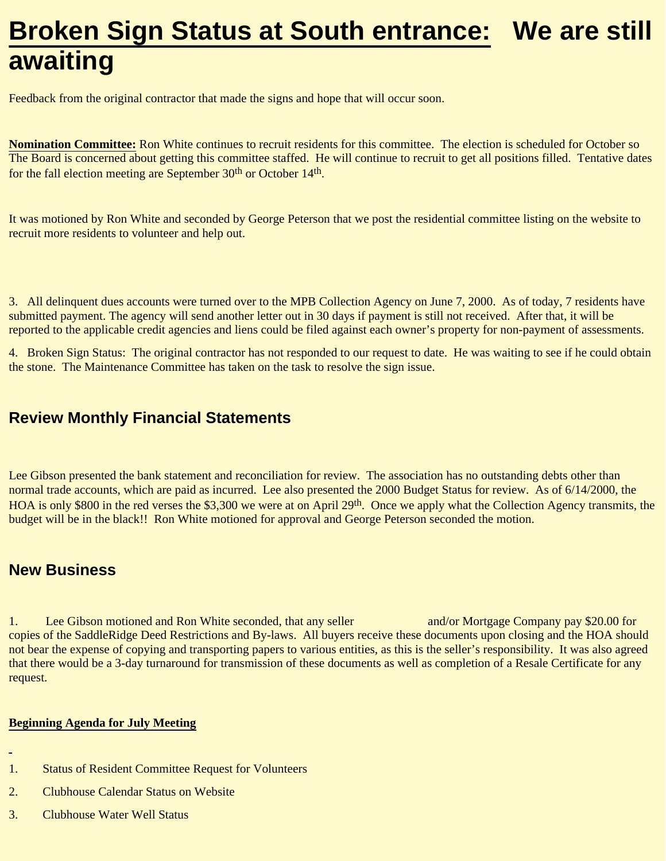# **Broken Sign Status at South entrance: We are still awaiting**

Feedback from the original contractor that made the signs and hope that will occur soon.

**Nomination Committee:** Ron White continues to recruit residents for this committee. The election is scheduled for October so The Board is concerned about getting this committee staffed. He will continue to recruit to get all positions filled. Tentative dates for the fall election meeting are September 30<sup>th</sup> or October 14<sup>th</sup>.

It was motioned by Ron White and seconded by George Peterson that we post the residential committee listing on the website to recruit more residents to volunteer and help out.

3. All delinquent dues accounts were turned over to the MPB Collection Agency on June 7, 2000. As of today, 7 residents have submitted payment. The agency will send another letter out in 30 days if payment is still not received. After that, it will be reported to the applicable credit agencies and liens could be filed against each owner's property for non-payment of assessments.

4. Broken Sign Status: The original contractor has not responded to our request to date. He was waiting to see if he could obtain the stone. The Maintenance Committee has taken on the task to resolve the sign issue.

### **Review Monthly Financial Statements**

Lee Gibson presented the bank statement and reconciliation for review. The association has no outstanding debts other than normal trade accounts, which are paid as incurred. Lee also presented the 2000 Budget Status for review. As of 6/14/2000, the HOA is only \$800 in the red verses the \$3,300 we were at on April 29<sup>th</sup>. Once we apply what the Collection Agency transmits, the budget will be in the black!! Ron White motioned for approval and George Peterson seconded the motion.

### **New Business**

1. Lee Gibson motioned and Ron White seconded, that any seller and/or Mortgage Company pay \$20.00 for copies of the SaddleRidge Deed Restrictions and By-laws. All buyers receive these documents upon closing and the HOA should not bear the expense of copying and transporting papers to various entities, as this is the seller's responsibility. It was also agreed that there would be a 3-day turnaround for transmission of these documents as well as completion of a Resale Certificate for any request.

#### **Beginning Agenda for July Meeting**

- 1. Status of Resident Committee Request for Volunteers
- 2. Clubhouse Calendar Status on Website
- 3. Clubhouse Water Well Status